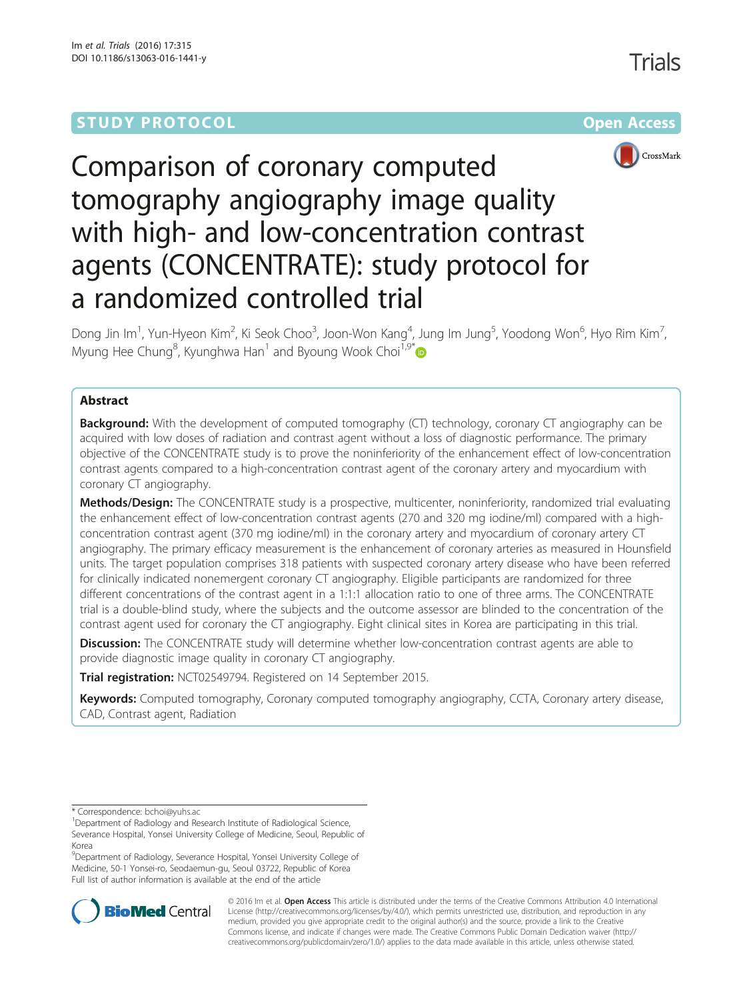## **STUDY PROTOCOL CONSUMING THE RESERVE ACCESS**



# Comparison of coronary computed tomography angiography image quality with high- and low-concentration contrast agents (CONCENTRATE): study protocol for a randomized controlled trial

Dong Jin Im<sup>1</sup>, Yun-Hyeon Kim<sup>2</sup>, Ki Seok Choo<sup>3</sup>, Joon-Won Kang<sup>4</sup>, Jung Im Jung<sup>5</sup>, Yoodong Won<sup>6</sup>, Hyo Rim Kim<sup>7</sup> , Myung Hee Chung<sup>8</sup>, Kyunghwa Han<sup>1</sup> and Byoung Wook Choi<sup>1,9\*</sup>

## Abstract

**Background:** With the development of computed tomography (CT) technology, coronary CT angiography can be acquired with low doses of radiation and contrast agent without a loss of diagnostic performance. The primary objective of the CONCENTRATE study is to prove the noninferiority of the enhancement effect of low-concentration contrast agents compared to a high-concentration contrast agent of the coronary artery and myocardium with coronary CT angiography.

Methods/Design: The CONCENTRATE study is a prospective, multicenter, noninferiority, randomized trial evaluating the enhancement effect of low-concentration contrast agents (270 and 320 mg iodine/ml) compared with a highconcentration contrast agent (370 mg iodine/ml) in the coronary artery and myocardium of coronary artery CT angiography. The primary efficacy measurement is the enhancement of coronary arteries as measured in Hounsfield units. The target population comprises 318 patients with suspected coronary artery disease who have been referred for clinically indicated nonemergent coronary CT angiography. Eligible participants are randomized for three different concentrations of the contrast agent in a 1:1:1 allocation ratio to one of three arms. The CONCENTRATE trial is a double-blind study, where the subjects and the outcome assessor are blinded to the concentration of the contrast agent used for coronary the CT angiography. Eight clinical sites in Korea are participating in this trial.

**Discussion:** The CONCENTRATE study will determine whether low-concentration contrast agents are able to provide diagnostic image quality in coronary CT angiography.

Trial registration: [NCT02549794](http://www.clinicaltrials.gov/NCT02549794). Registered on 14 September 2015.

Keywords: Computed tomography, Coronary computed tomography angiography, CCTA, Coronary artery disease, CAD, Contrast agent, Radiation

\* Correspondence: [bchoi@yuhs.ac](mailto:bchoi@yuhs.ac) <sup>1</sup>

<sup>9</sup>Department of Radiology, Severance Hospital, Yonsei University College of Medicine, 50-1 Yonsei-ro, Seodaemun-gu, Seoul 03722, Republic of Korea Full list of author information is available at the end of the article



© 2016 Im et al. Open Access This article is distributed under the terms of the Creative Commons Attribution 4.0 International License ([http://creativecommons.org/licenses/by/4.0/\)](http://creativecommons.org/licenses/by/4.0/), which permits unrestricted use, distribution, and reproduction in any medium, provided you give appropriate credit to the original author(s) and the source, provide a link to the Creative Commons license, and indicate if changes were made. The Creative Commons Public Domain Dedication waiver ([http://](http://creativecommons.org/publicdomain/zero/1.0/) [creativecommons.org/publicdomain/zero/1.0/\)](http://creativecommons.org/publicdomain/zero/1.0/) applies to the data made available in this article, unless otherwise stated.

<sup>&</sup>lt;sup>1</sup>Department of Radiology and Research Institute of Radiological Science, Severance Hospital, Yonsei University College of Medicine, Seoul, Republic of Korea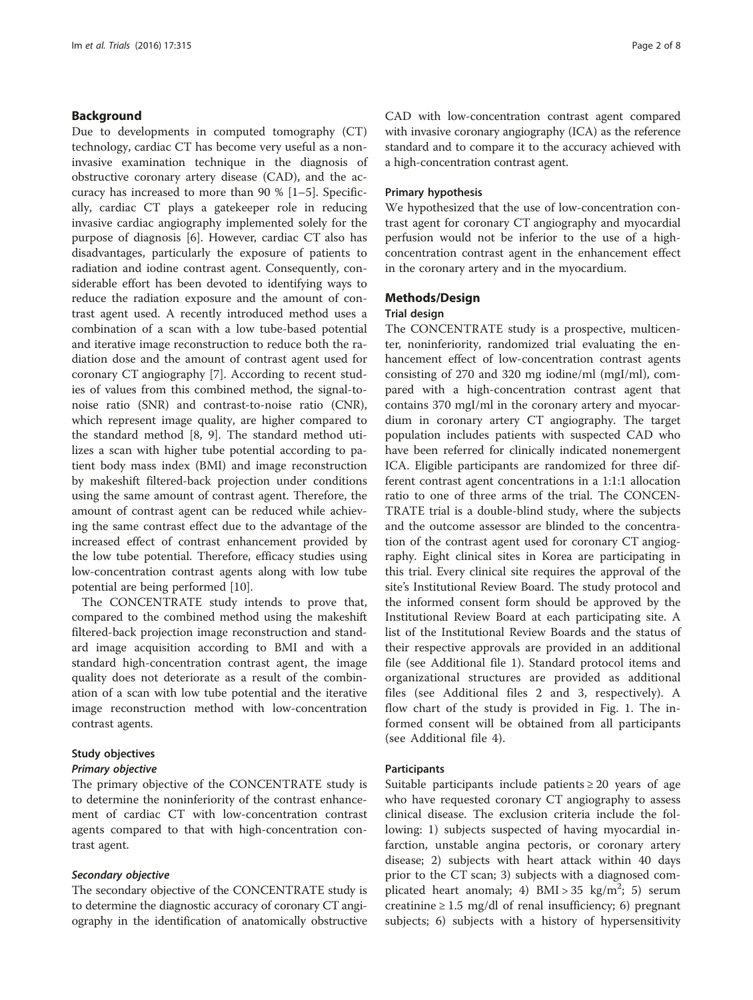## Background

Due to developments in computed tomography (CT) technology, cardiac CT has become very useful as a noninvasive examination technique in the diagnosis of obstructive coronary artery disease (CAD), and the accuracy has increased to more than 90 % [\[1](#page-6-0)–[5\]](#page-6-0). Specifically, cardiac CT plays a gatekeeper role in reducing invasive cardiac angiography implemented solely for the purpose of diagnosis [[6](#page-6-0)]. However, cardiac CT also has disadvantages, particularly the exposure of patients to radiation and iodine contrast agent. Consequently, considerable effort has been devoted to identifying ways to reduce the radiation exposure and the amount of contrast agent used. A recently introduced method uses a combination of a scan with a low tube-based potential and iterative image reconstruction to reduce both the radiation dose and the amount of contrast agent used for coronary CT angiography [[7\]](#page-7-0). According to recent studies of values from this combined method, the signal-tonoise ratio (SNR) and contrast-to-noise ratio (CNR), which represent image quality, are higher compared to the standard method [\[8, 9\]](#page-7-0). The standard method utilizes a scan with higher tube potential according to patient body mass index (BMI) and image reconstruction by makeshift filtered-back projection under conditions using the same amount of contrast agent. Therefore, the amount of contrast agent can be reduced while achieving the same contrast effect due to the advantage of the increased effect of contrast enhancement provided by the low tube potential. Therefore, efficacy studies using low-concentration contrast agents along with low tube potential are being performed [\[10\]](#page-7-0).

The CONCENTRATE study intends to prove that, compared to the combined method using the makeshift filtered-back projection image reconstruction and standard image acquisition according to BMI and with a standard high-concentration contrast agent, the image quality does not deteriorate as a result of the combination of a scan with low tube potential and the iterative image reconstruction method with low-concentration contrast agents.

## Study objectives Primary objective

The primary objective of the CONCENTRATE study is to determine the noninferiority of the contrast enhancement of cardiac CT with low-concentration contrast agents compared to that with high-concentration contrast agent.

## Secondary objective

The secondary objective of the CONCENTRATE study is to determine the diagnostic accuracy of coronary CT angiography in the identification of anatomically obstructive

CAD with low-concentration contrast agent compared with invasive coronary angiography (ICA) as the reference standard and to compare it to the accuracy achieved with a high-concentration contrast agent.

#### Primary hypothesis

We hypothesized that the use of low-concentration contrast agent for coronary CT angiography and myocardial perfusion would not be inferior to the use of a highconcentration contrast agent in the enhancement effect in the coronary artery and in the myocardium.

#### Methods/Design

#### Trial design

The CONCENTRATE study is a prospective, multicenter, noninferiority, randomized trial evaluating the enhancement effect of low-concentration contrast agents consisting of 270 and 320 mg iodine/ml (mgI/ml), compared with a high-concentration contrast agent that contains 370 mgI/ml in the coronary artery and myocardium in coronary artery CT angiography. The target population includes patients with suspected CAD who have been referred for clinically indicated nonemergent ICA. Eligible participants are randomized for three different contrast agent concentrations in a 1:1:1 allocation ratio to one of three arms of the trial. The CONCEN-TRATE trial is a double-blind study, where the subjects and the outcome assessor are blinded to the concentration of the contrast agent used for coronary CT angiography. Eight clinical sites in Korea are participating in this trial. Every clinical site requires the approval of the site's Institutional Review Board. The study protocol and the informed consent form should be approved by the Institutional Review Board at each participating site. A list of the Institutional Review Boards and the status of their respective approvals are provided in an additional file (see Additional file [1](#page-6-0)). Standard protocol items and organizational structures are provided as additional files (see Additional files [2](#page-6-0) and [3](#page-6-0), respectively). A flow chart of the study is provided in Fig. [1](#page-2-0). The informed consent will be obtained from all participants (see Additional file [4](#page-6-0)).

#### **Participants**

Suitable participants include patients  $\geq 20$  years of age who have requested coronary CT angiography to assess clinical disease. The exclusion criteria include the following: 1) subjects suspected of having myocardial infarction, unstable angina pectoris, or coronary artery disease; 2) subjects with heart attack within 40 days prior to the CT scan; 3) subjects with a diagnosed complicated heart anomaly; 4)  $BMI > 35$  kg/m<sup>2</sup>; 5) serum creatinine  $\geq 1.5$  mg/dl of renal insufficiency; 6) pregnant subjects; 6) subjects with a history of hypersensitivity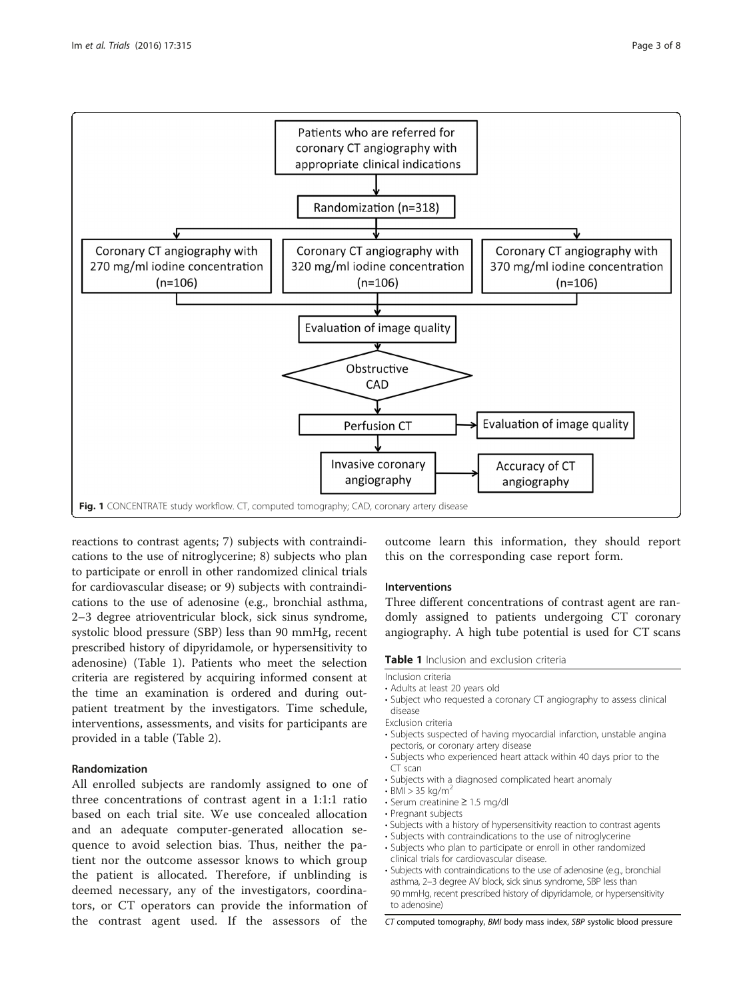<span id="page-2-0"></span>

reactions to contrast agents; 7) subjects with contraindications to the use of nitroglycerine; 8) subjects who plan to participate or enroll in other randomized clinical trials for cardiovascular disease; or 9) subjects with contraindications to the use of adenosine (e.g., bronchial asthma, 2–3 degree atrioventricular block, sick sinus syndrome, systolic blood pressure (SBP) less than 90 mmHg, recent prescribed history of dipyridamole, or hypersensitivity to adenosine) (Table 1). Patients who meet the selection criteria are registered by acquiring informed consent at the time an examination is ordered and during outpatient treatment by the investigators. Time schedule, interventions, assessments, and visits for participants are provided in a table (Table [2\)](#page-3-0).

## Randomization

All enrolled subjects are randomly assigned to one of three concentrations of contrast agent in a 1:1:1 ratio based on each trial site. We use concealed allocation and an adequate computer-generated allocation sequence to avoid selection bias. Thus, neither the patient nor the outcome assessor knows to which group the patient is allocated. Therefore, if unblinding is deemed necessary, any of the investigators, coordinators, or CT operators can provide the information of the contrast agent used. If the assessors of the

outcome learn this information, they should report this on the corresponding case report form.

## Interventions

Three different concentrations of contrast agent are randomly assigned to patients undergoing CT coronary angiography. A high tube potential is used for CT scans

## Table 1 Inclusion and exclusion criteria

Inclusion criteria

- Adults at least 20 years old
- Subject who requested a coronary CT angiography to assess clinical disease
- Exclusion criteria
- Subjects suspected of having myocardial infarction, unstable angina pectoris, or coronary artery disease
- Subjects who experienced heart attack within 40 days prior to the CT scan
- Subjects with a diagnosed complicated heart anomaly
- $\cdot$  BMI  $> 35$  kg/m<sup>2</sup>
	- Serum creatinine ≥ 1.5 mg/dl
	- Pregnant subjects
	- Subjects with a history of hypersensitivity reaction to contrast agents
	- Subjects with contraindications to the use of nitroglycerine
	- Subjects who plan to participate or enroll in other randomized clinical trials for cardiovascular disease.
	- Subjects with contraindications to the use of adenosine (e.g., bronchial asthma, 2–3 degree AV block, sick sinus syndrome, SBP less than 90 mmHg, recent prescribed history of dipyridamole, or hypersensitivity to adenosine)

CT computed tomography, BMI body mass index, SBP systolic blood pressure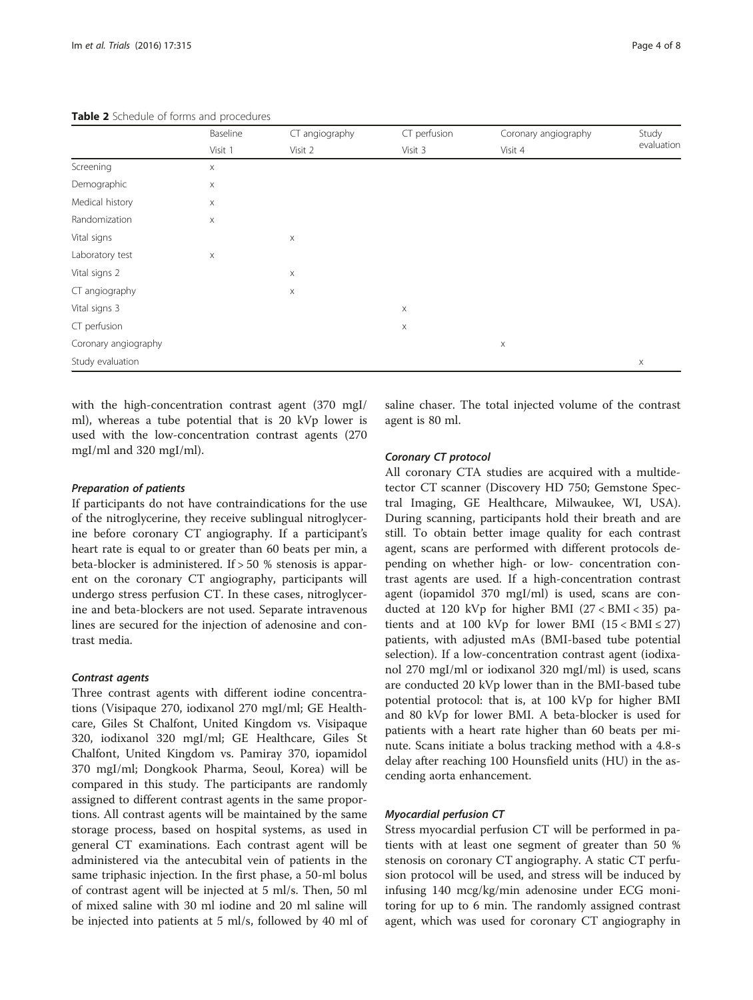|                      | Baseline<br>Visit 1 | CT angiography<br>Visit 2 | CT perfusion<br>Visit 3 | Coronary angiography<br>Visit 4 | Study<br>evaluation |
|----------------------|---------------------|---------------------------|-------------------------|---------------------------------|---------------------|
|                      |                     |                           |                         |                                 |                     |
| Screening            | X                   |                           |                         |                                 |                     |
| Demographic          | X                   |                           |                         |                                 |                     |
| Medical history      | X                   |                           |                         |                                 |                     |
| Randomization        | $\mathsf X$         |                           |                         |                                 |                     |
| Vital signs          |                     | $\mathsf X$               |                         |                                 |                     |
| Laboratory test      | X                   |                           |                         |                                 |                     |
| Vital signs 2        |                     | $\mathsf X$               |                         |                                 |                     |
| CT angiography       |                     | $\mathsf X$               |                         |                                 |                     |
| Vital signs 3        |                     |                           | $\boldsymbol{\times}$   |                                 |                     |
| CT perfusion         |                     |                           | $\boldsymbol{\times}$   |                                 |                     |
| Coronary angiography |                     |                           |                         | X                               |                     |
| Study evaluation     |                     |                           |                         |                                 | $\mathsf X$         |

<span id="page-3-0"></span>Table 2 Schedule of forms and procedures

with the high-concentration contrast agent (370 mgI/ ml), whereas a tube potential that is 20 kVp lower is used with the low-concentration contrast agents (270 mgI/ml and 320 mgI/ml).

## Preparation of patients

If participants do not have contraindications for the use of the nitroglycerine, they receive sublingual nitroglycerine before coronary CT angiography. If a participant's heart rate is equal to or greater than 60 beats per min, a beta-blocker is administered. If > 50 % stenosis is apparent on the coronary CT angiography, participants will undergo stress perfusion CT. In these cases, nitroglycerine and beta-blockers are not used. Separate intravenous lines are secured for the injection of adenosine and contrast media.

## Contrast agents

Three contrast agents with different iodine concentrations (Visipaque 270, iodixanol 270 mgI/ml; GE Healthcare, Giles St Chalfont, United Kingdom vs. Visipaque 320, iodixanol 320 mgI/ml; GE Healthcare, Giles St Chalfont, United Kingdom vs. Pamiray 370, iopamidol 370 mgI/ml; Dongkook Pharma, Seoul, Korea) will be compared in this study. The participants are randomly assigned to different contrast agents in the same proportions. All contrast agents will be maintained by the same storage process, based on hospital systems, as used in general CT examinations. Each contrast agent will be administered via the antecubital vein of patients in the same triphasic injection. In the first phase, a 50-ml bolus of contrast agent will be injected at 5 ml/s. Then, 50 ml of mixed saline with 30 ml iodine and 20 ml saline will be injected into patients at 5 ml/s, followed by 40 ml of saline chaser. The total injected volume of the contrast agent is 80 ml.

## Coronary CT protocol

All coronary CTA studies are acquired with a multidetector CT scanner (Discovery HD 750; Gemstone Spectral Imaging, GE Healthcare, Milwaukee, WI, USA). During scanning, participants hold their breath and are still. To obtain better image quality for each contrast agent, scans are performed with different protocols depending on whether high- or low- concentration contrast agents are used. If a high-concentration contrast agent (iopamidol 370 mgI/ml) is used, scans are conducted at 120 kVp for higher BMI (27 < BMI < 35) patients and at 100 kVp for lower BMI  $(15 < BMI \le 27)$ patients, with adjusted mAs (BMI-based tube potential selection). If a low-concentration contrast agent (iodixanol 270 mgI/ml or iodixanol 320 mgI/ml) is used, scans are conducted 20 kVp lower than in the BMI-based tube potential protocol: that is, at 100 kVp for higher BMI and 80 kVp for lower BMI. A beta-blocker is used for patients with a heart rate higher than 60 beats per minute. Scans initiate a bolus tracking method with a 4.8-s delay after reaching 100 Hounsfield units (HU) in the ascending aorta enhancement.

## Myocardial perfusion CT

Stress myocardial perfusion CT will be performed in patients with at least one segment of greater than 50 % stenosis on coronary CT angiography. A static CT perfusion protocol will be used, and stress will be induced by infusing 140 mcg/kg/min adenosine under ECG monitoring for up to 6 min. The randomly assigned contrast agent, which was used for coronary CT angiography in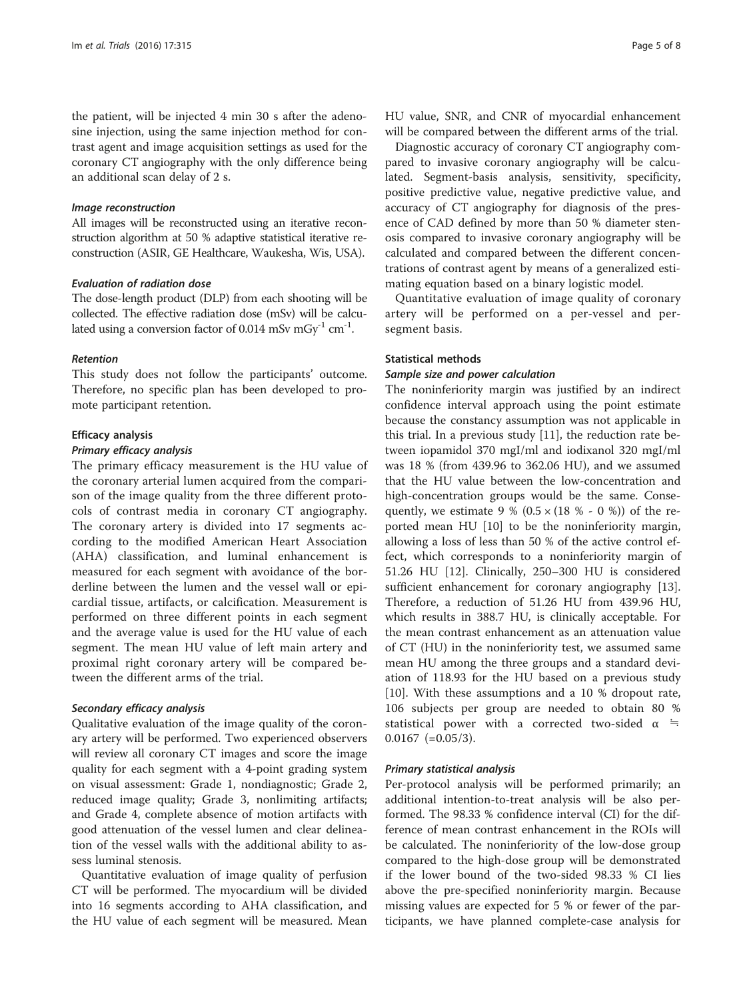the patient, will be injected 4 min 30 s after the adenosine injection, using the same injection method for contrast agent and image acquisition settings as used for the coronary CT angiography with the only difference being an additional scan delay of 2 s.

#### Image reconstruction

All images will be reconstructed using an iterative reconstruction algorithm at 50 % adaptive statistical iterative reconstruction (ASIR, GE Healthcare, Waukesha, Wis, USA).

## Evaluation of radiation dose

The dose-length product (DLP) from each shooting will be collected. The effective radiation dose (mSv) will be calculated using a conversion factor of 0.014 mSv mGy<sup>-1</sup> cm<sup>-1</sup>.

#### Retention

This study does not follow the participants' outcome. Therefore, no specific plan has been developed to promote participant retention.

#### Efficacy analysis

#### Primary efficacy analysis

The primary efficacy measurement is the HU value of the coronary arterial lumen acquired from the comparison of the image quality from the three different protocols of contrast media in coronary CT angiography. The coronary artery is divided into 17 segments according to the modified American Heart Association (AHA) classification, and luminal enhancement is measured for each segment with avoidance of the borderline between the lumen and the vessel wall or epicardial tissue, artifacts, or calcification. Measurement is performed on three different points in each segment and the average value is used for the HU value of each segment. The mean HU value of left main artery and proximal right coronary artery will be compared between the different arms of the trial.

#### Secondary efficacy analysis

Qualitative evaluation of the image quality of the coronary artery will be performed. Two experienced observers will review all coronary CT images and score the image quality for each segment with a 4-point grading system on visual assessment: Grade 1, nondiagnostic; Grade 2, reduced image quality; Grade 3, nonlimiting artifacts; and Grade 4, complete absence of motion artifacts with good attenuation of the vessel lumen and clear delineation of the vessel walls with the additional ability to assess luminal stenosis.

Quantitative evaluation of image quality of perfusion CT will be performed. The myocardium will be divided into 16 segments according to AHA classification, and the HU value of each segment will be measured. Mean HU value, SNR, and CNR of myocardial enhancement will be compared between the different arms of the trial.

Diagnostic accuracy of coronary CT angiography compared to invasive coronary angiography will be calculated. Segment-basis analysis, sensitivity, specificity, positive predictive value, negative predictive value, and accuracy of CT angiography for diagnosis of the presence of CAD defined by more than 50 % diameter stenosis compared to invasive coronary angiography will be calculated and compared between the different concentrations of contrast agent by means of a generalized estimating equation based on a binary logistic model.

Quantitative evaluation of image quality of coronary artery will be performed on a per-vessel and persegment basis.

## Statistical methods

## Sample size and power calculation

The noninferiority margin was justified by an indirect confidence interval approach using the point estimate because the constancy assumption was not applicable in this trial. In a previous study [[11\]](#page-7-0), the reduction rate between iopamidol 370 mgI/ml and iodixanol 320 mgI/ml was 18 % (from 439.96 to 362.06 HU), and we assumed that the HU value between the low-concentration and high-concentration groups would be the same. Consequently, we estimate 9 % (0.5  $\times$  (18 % - 0 %)) of the reported mean HU [\[10\]](#page-7-0) to be the noninferiority margin, allowing a loss of less than 50 % of the active control effect, which corresponds to a noninferiority margin of 51.26 HU [\[12](#page-7-0)]. Clinically, 250–300 HU is considered sufficient enhancement for coronary angiography [\[13](#page-7-0)]. Therefore, a reduction of 51.26 HU from 439.96 HU, which results in 388.7 HU, is clinically acceptable. For the mean contrast enhancement as an attenuation value of CT (HU) in the noninferiority test, we assumed same mean HU among the three groups and a standard deviation of 118.93 for the HU based on a previous study [[10\]](#page-7-0). With these assumptions and a 10 % dropout rate, 106 subjects per group are needed to obtain 80 % statistical power with a corrected two-sided  $\alpha$  ≒  $0.0167$  (=0.05/3).

#### Primary statistical analysis

Per-protocol analysis will be performed primarily; an additional intention-to-treat analysis will be also performed. The 98.33 % confidence interval (CI) for the difference of mean contrast enhancement in the ROIs will be calculated. The noninferiority of the low-dose group compared to the high-dose group will be demonstrated if the lower bound of the two-sided 98.33 % CI lies above the pre-specified noninferiority margin. Because missing values are expected for 5 % or fewer of the participants, we have planned complete-case analysis for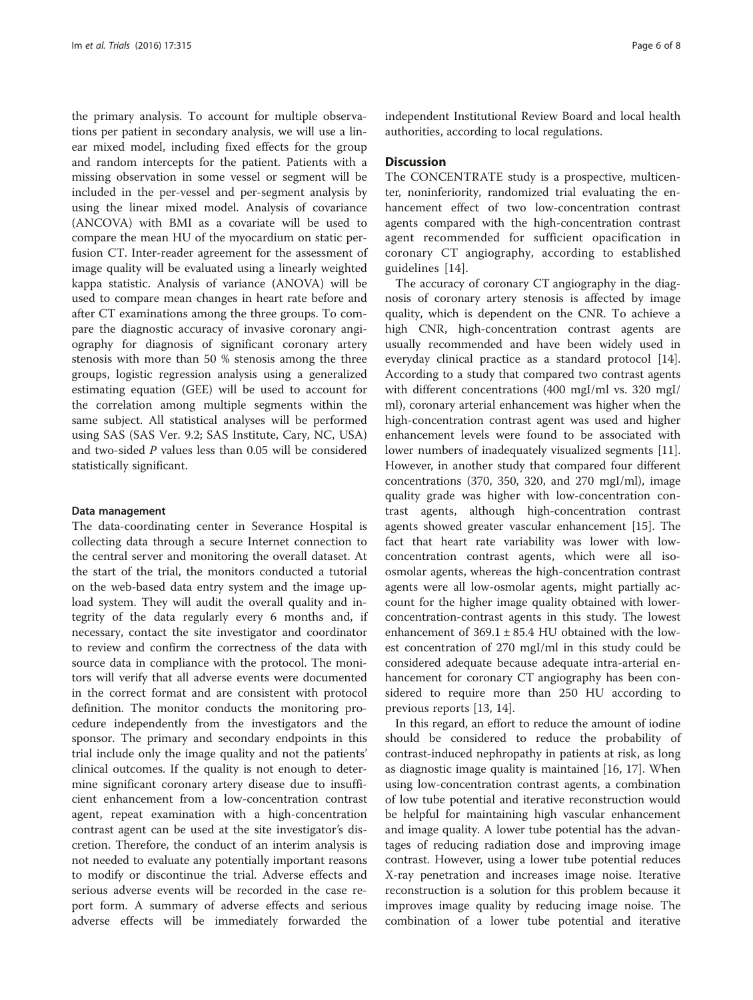the primary analysis. To account for multiple observations per patient in secondary analysis, we will use a linear mixed model, including fixed effects for the group and random intercepts for the patient. Patients with a missing observation in some vessel or segment will be included in the per-vessel and per-segment analysis by using the linear mixed model. Analysis of covariance (ANCOVA) with BMI as a covariate will be used to compare the mean HU of the myocardium on static perfusion CT. Inter-reader agreement for the assessment of image quality will be evaluated using a linearly weighted kappa statistic. Analysis of variance (ANOVA) will be used to compare mean changes in heart rate before and after CT examinations among the three groups. To compare the diagnostic accuracy of invasive coronary angiography for diagnosis of significant coronary artery stenosis with more than 50 % stenosis among the three groups, logistic regression analysis using a generalized estimating equation (GEE) will be used to account for the correlation among multiple segments within the same subject. All statistical analyses will be performed using SAS (SAS Ver. 9.2; SAS Institute, Cary, NC, USA) and two-sided P values less than 0.05 will be considered statistically significant.

#### Data management

The data-coordinating center in Severance Hospital is collecting data through a secure Internet connection to the central server and monitoring the overall dataset. At the start of the trial, the monitors conducted a tutorial on the web-based data entry system and the image upload system. They will audit the overall quality and integrity of the data regularly every 6 months and, if necessary, contact the site investigator and coordinator to review and confirm the correctness of the data with source data in compliance with the protocol. The monitors will verify that all adverse events were documented in the correct format and are consistent with protocol definition. The monitor conducts the monitoring procedure independently from the investigators and the sponsor. The primary and secondary endpoints in this trial include only the image quality and not the patients' clinical outcomes. If the quality is not enough to determine significant coronary artery disease due to insufficient enhancement from a low-concentration contrast agent, repeat examination with a high-concentration contrast agent can be used at the site investigator's discretion. Therefore, the conduct of an interim analysis is not needed to evaluate any potentially important reasons to modify or discontinue the trial. Adverse effects and serious adverse events will be recorded in the case report form. A summary of adverse effects and serious adverse effects will be immediately forwarded the

independent Institutional Review Board and local health authorities, according to local regulations.

#### **Discussion**

The CONCENTRATE study is a prospective, multicenter, noninferiority, randomized trial evaluating the enhancement effect of two low-concentration contrast agents compared with the high-concentration contrast agent recommended for sufficient opacification in coronary CT angiography, according to established guidelines [[14](#page-7-0)].

The accuracy of coronary CT angiography in the diagnosis of coronary artery stenosis is affected by image quality, which is dependent on the CNR. To achieve a high CNR, high-concentration contrast agents are usually recommended and have been widely used in everyday clinical practice as a standard protocol [\[14](#page-7-0)]. According to a study that compared two contrast agents with different concentrations (400 mgI/ml vs. 320 mgI/ ml), coronary arterial enhancement was higher when the high-concentration contrast agent was used and higher enhancement levels were found to be associated with lower numbers of inadequately visualized segments [\[11](#page-7-0)]. However, in another study that compared four different concentrations (370, 350, 320, and 270 mgI/ml), image quality grade was higher with low-concentration contrast agents, although high-concentration contrast agents showed greater vascular enhancement [[15\]](#page-7-0). The fact that heart rate variability was lower with lowconcentration contrast agents, which were all isoosmolar agents, whereas the high-concentration contrast agents were all low-osmolar agents, might partially account for the higher image quality obtained with lowerconcentration-contrast agents in this study. The lowest enhancement of  $369.1 \pm 85.4$  HU obtained with the lowest concentration of 270 mgI/ml in this study could be considered adequate because adequate intra-arterial enhancement for coronary CT angiography has been considered to require more than 250 HU according to previous reports [[13](#page-7-0), [14](#page-7-0)].

In this regard, an effort to reduce the amount of iodine should be considered to reduce the probability of contrast-induced nephropathy in patients at risk, as long as diagnostic image quality is maintained [\[16](#page-7-0), [17](#page-7-0)]. When using low-concentration contrast agents, a combination of low tube potential and iterative reconstruction would be helpful for maintaining high vascular enhancement and image quality. A lower tube potential has the advantages of reducing radiation dose and improving image contrast. However, using a lower tube potential reduces X-ray penetration and increases image noise. Iterative reconstruction is a solution for this problem because it improves image quality by reducing image noise. The combination of a lower tube potential and iterative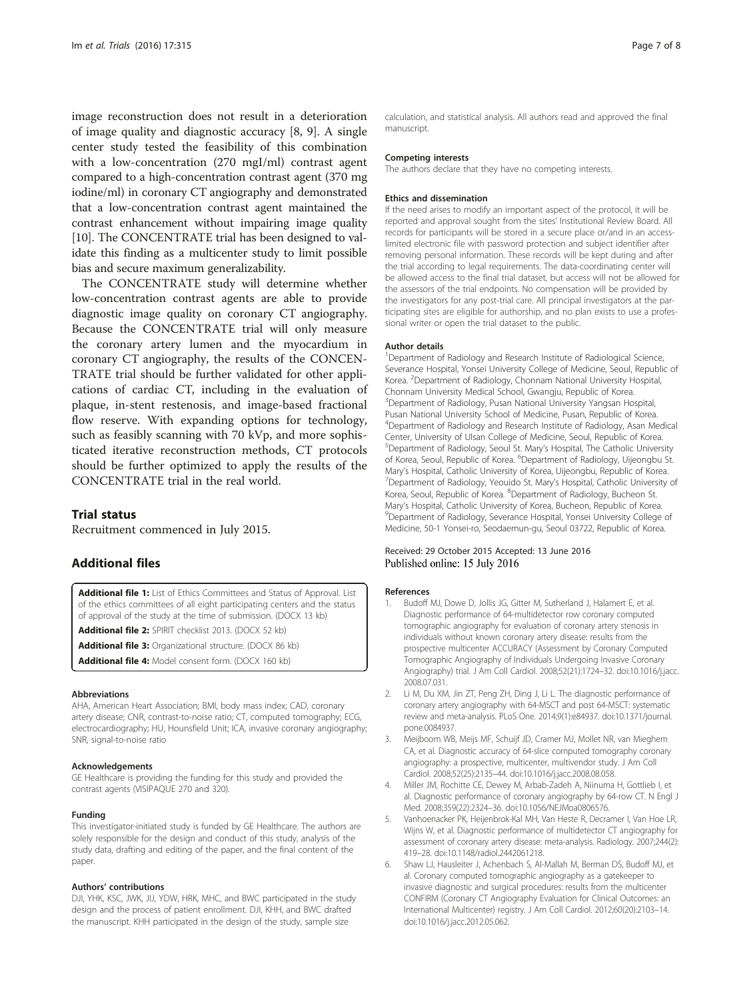<span id="page-6-0"></span>image reconstruction does not result in a deterioration of image quality and diagnostic accuracy [\[8](#page-7-0), [9\]](#page-7-0). A single center study tested the feasibility of this combination with a low-concentration (270 mgI/ml) contrast agent compared to a high-concentration contrast agent (370 mg iodine/ml) in coronary CT angiography and demonstrated that a low-concentration contrast agent maintained the contrast enhancement without impairing image quality [[10](#page-7-0)]. The CONCENTRATE trial has been designed to validate this finding as a multicenter study to limit possible bias and secure maximum generalizability.

The CONCENTRATE study will determine whether low-concentration contrast agents are able to provide diagnostic image quality on coronary CT angiography. Because the CONCENTRATE trial will only measure the coronary artery lumen and the myocardium in coronary CT angiography, the results of the CONCEN-TRATE trial should be further validated for other applications of cardiac CT, including in the evaluation of plaque, in-stent restenosis, and image-based fractional flow reserve. With expanding options for technology, such as feasibly scanning with 70 kVp, and more sophisticated iterative reconstruction methods, CT protocols should be further optimized to apply the results of the CONCENTRATE trial in the real world.

#### Trial status

Recruitment commenced in July 2015.

## Additional files

[Additional file 1:](dx.doi.org/10.1186/s13063-016-1441-y) List of Ethics Committees and Status of Approval. List of the ethics committees of all eight participating centers and the status of approval of the study at the time of submission. (DOCX 13 kb)

[Additional file 2:](dx.doi.org/10.1186/s13063-016-1441-y) SPIRIT checklist 2013. (DOCX 52 kb)

[Additional file 3:](dx.doi.org/10.1186/s13063-016-1441-y) Organizational structure. (DOCX 86 kb)

[Additional file 4:](dx.doi.org/10.1186/s13063-016-1441-y) Model consent form. (DOCX 160 kb)

#### Abbreviations

AHA, American Heart Association; BMI, body mass index; CAD, coronary artery disease; CNR, contrast-to-noise ratio; CT, computed tomography; ECG, electrocardiography; HU, Hounsfield Unit; ICA, invasive coronary angiography; SNR, signal-to-noise ratio

#### Acknowledgements

GE Healthcare is providing the funding for this study and provided the contrast agents (VISIPAQUE 270 and 320).

#### Funding

This investigator-initiated study is funded by GE Healthcare. The authors are solely responsible for the design and conduct of this study, analysis of the study data, drafting and editing of the paper, and the final content of the paper.

#### Authors' contributions

DJI, YHK, KSC, JWK, JIJ, YDW, HRK, MHC, and BWC participated in the study design and the process of patient enrollment. DJI, KHH, and BWC drafted the manuscript. KHH participated in the design of the study, sample size

calculation, and statistical analysis. All authors read and approved the final manuscript.

#### Competing interests

The authors declare that they have no competing interests.

#### Ethics and dissemination

If the need arises to modify an important aspect of the protocol, it will be reported and approval sought from the sites' Institutional Review Board. All records for participants will be stored in a secure place or/and in an accesslimited electronic file with password protection and subject identifier after removing personal information. These records will be kept during and after the trial according to legal requirements. The data-coordinating center will be allowed access to the final trial dataset, but access will not be allowed for the assessors of the trial endpoints. No compensation will be provided by the investigators for any post-trial care. All principal investigators at the participating sites are eligible for authorship, and no plan exists to use a professional writer or open the trial dataset to the public.

#### Author details

<sup>1</sup>Department of Radiology and Research Institute of Radiological Science Severance Hospital, Yonsei University College of Medicine, Seoul, Republic of Korea. <sup>2</sup> Department of Radiology, Chonnam National University Hospital Chonnam University Medical School, Gwangju, Republic of Korea. 3 Department of Radiology, Pusan National University Yangsan Hospital, Pusan National University School of Medicine, Pusan, Republic of Korea. 4 Department of Radiology and Research Institute of Radiology, Asan Medical Center, University of Ulsan College of Medicine, Seoul, Republic of Korea. 5 Department of Radiology, Seoul St. Mary's Hospital, The Catholic University of Korea, Seoul, Republic of Korea. <sup>6</sup>Department of Radiology, Uijeongbu St. Mary's Hospital, Catholic University of Korea, Uijeongbu, Republic of Korea. <sup>7</sup> <sup>7</sup>Department of Radiology, Yeouido St. Mary's Hospital, Catholic University of Korea, Seoul, Republic of Korea. <sup>8</sup>Department of Radiology, Bucheon St. Mary's Hospital, Catholic University of Korea, Bucheon, Republic of Korea. <sup>9</sup> Department of Radiology, Severance Hospital, Yonsei University College of Medicine, 50-1 Yonsei-ro, Seodaemun-gu, Seoul 03722, Republic of Korea.

#### Received: 29 October 2015 Accepted: 13 June 2016 Published online: 15 July 2016

#### References

- 1. Budoff MJ, Dowe D, Jollis JG, Gitter M, Sutherland J, Halamert E, et al. Diagnostic performance of 64-multidetector row coronary computed tomographic angiography for evaluation of coronary artery stenosis in individuals without known coronary artery disease: results from the prospective multicenter ACCURACY (Assessment by Coronary Computed Tomographic Angiography of Individuals Undergoing Invasive Coronary Angiography) trial. J Am Coll Cardiol. 2008;52(21):1724–32. doi[:10.1016/j.jacc.](http://dx.doi.org/10.1016/j.jacc.2008.07.031) [2008.07.031.](http://dx.doi.org/10.1016/j.jacc.2008.07.031)
- 2. Li M, Du XM, Jin ZT, Peng ZH, Ding J, Li L. The diagnostic performance of coronary artery angiography with 64-MSCT and post 64-MSCT: systematic review and meta-analysis. PLoS One. 2014;9(1):e84937. doi:[10.1371/journal.](http://dx.doi.org/10.1371/journal.pone.0084937) [pone.0084937.](http://dx.doi.org/10.1371/journal.pone.0084937)
- 3. Meijboom WB, Meijs MF, Schuijf JD, Cramer MJ, Mollet NR, van Mieghem CA, et al. Diagnostic accuracy of 64-slice computed tomography coronary angiography: a prospective, multicenter, multivendor study. J Am Coll Cardiol. 2008;52(25):2135–44. doi:[10.1016/j.jacc.2008.08.058.](http://dx.doi.org/10.1016/j.jacc.2008.08.058)
- 4. Miller JM, Rochitte CE, Dewey M, Arbab-Zadeh A, Niinuma H, Gottlieb I, et al. Diagnostic performance of coronary angiography by 64-row CT. N Engl J Med. 2008;359(22):2324–36. doi[:10.1056/NEJMoa0806576.](http://dx.doi.org/10.1056/NEJMoa0806576)
- 5. Vanhoenacker PK, Heijenbrok-Kal MH, Van Heste R, Decramer I, Van Hoe LR, Wijns W, et al. Diagnostic performance of multidetector CT angiography for assessment of coronary artery disease: meta-analysis. Radiology. 2007;244(2): 419–28. doi:[10.1148/radiol.2442061218](http://dx.doi.org/10.1148/radiol.2442061218).
- 6. Shaw LJ, Hausleiter J, Achenbach S, Al-Mallah M, Berman DS, Budoff MJ, et al. Coronary computed tomographic angiography as a gatekeeper to invasive diagnostic and surgical procedures: results from the multicenter CONFIRM (Coronary CT Angiography Evaluation for Clinical Outcomes: an International Multicenter) registry. J Am Coll Cardiol. 2012;60(20):2103–14. doi[:10.1016/j.jacc.2012.05.062.](http://dx.doi.org/10.1016/j.jacc.2012.05.062)